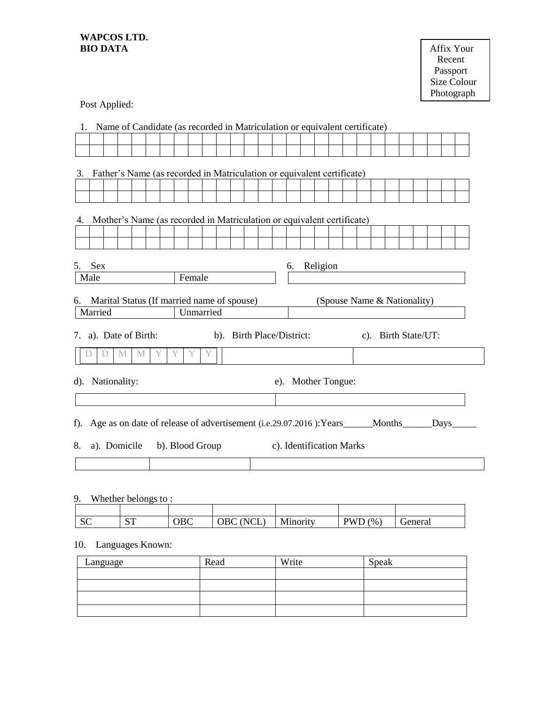## **WAPCOS LTD. BIO DATA** Affix Your

| TA | Affix Your  |
|----|-------------|
|    | Recent      |
|    | Passport    |
|    | Size Colour |
|    | Photograph  |

Post Applied:

| Name of Candidate (as recorded in Matriculation or equivalent certificate)<br>1.          |                                                                        |  |   |   |  |  |   |        |           |  |  |    |          |  |  |                             |  |  |  |
|-------------------------------------------------------------------------------------------|------------------------------------------------------------------------|--|---|---|--|--|---|--------|-----------|--|--|----|----------|--|--|-----------------------------|--|--|--|
|                                                                                           |                                                                        |  |   |   |  |  |   |        |           |  |  |    |          |  |  |                             |  |  |  |
|                                                                                           |                                                                        |  |   |   |  |  |   |        |           |  |  |    |          |  |  |                             |  |  |  |
| 3.                                                                                        | Father's Name (as recorded in Matriculation or equivalent certificate) |  |   |   |  |  |   |        |           |  |  |    |          |  |  |                             |  |  |  |
|                                                                                           |                                                                        |  |   |   |  |  |   |        |           |  |  |    |          |  |  |                             |  |  |  |
|                                                                                           |                                                                        |  |   |   |  |  |   |        |           |  |  |    |          |  |  |                             |  |  |  |
| 4.                                                                                        | Mother's Name (as recorded in Matriculation or equivalent certificate) |  |   |   |  |  |   |        |           |  |  |    |          |  |  |                             |  |  |  |
|                                                                                           |                                                                        |  |   |   |  |  |   |        |           |  |  |    |          |  |  |                             |  |  |  |
|                                                                                           |                                                                        |  |   |   |  |  |   |        |           |  |  |    |          |  |  |                             |  |  |  |
| 5.                                                                                        | <b>Sex</b>                                                             |  |   |   |  |  |   |        |           |  |  | 6. | Religion |  |  |                             |  |  |  |
|                                                                                           | Male                                                                   |  |   |   |  |  |   | Female |           |  |  |    |          |  |  |                             |  |  |  |
| 6.                                                                                        | Marital Status (If married name of spouse)                             |  |   |   |  |  |   |        |           |  |  |    |          |  |  | (Spouse Name & Nationality) |  |  |  |
|                                                                                           | Married                                                                |  |   |   |  |  |   |        | Unmarried |  |  |    |          |  |  |                             |  |  |  |
| 7. a). Date of Birth:<br>b). Birth Place/District:<br>c). Birth State/UT:                 |                                                                        |  |   |   |  |  |   |        |           |  |  |    |          |  |  |                             |  |  |  |
|                                                                                           |                                                                        |  | M | M |  |  | Y | Y      | Y         |  |  |    |          |  |  |                             |  |  |  |
|                                                                                           | Nationality:<br>e). Mother Tongue:<br>$d$ ).                           |  |   |   |  |  |   |        |           |  |  |    |          |  |  |                             |  |  |  |
|                                                                                           |                                                                        |  |   |   |  |  |   |        |           |  |  |    |          |  |  |                             |  |  |  |
| Age as on date of release of advertisement (i.e.29.07.2016): Years______Months_____Days__ |                                                                        |  |   |   |  |  |   |        |           |  |  |    |          |  |  |                             |  |  |  |
| f).                                                                                       |                                                                        |  |   |   |  |  |   |        |           |  |  |    |          |  |  |                             |  |  |  |
| 8.                                                                                        | c). Identification Marks<br>a). Domicile<br>b). Blood Group            |  |   |   |  |  |   |        |           |  |  |    |          |  |  |                             |  |  |  |
|                                                                                           |                                                                        |  |   |   |  |  |   |        |           |  |  |    |          |  |  |                             |  |  |  |
|                                                                                           |                                                                        |  |   |   |  |  |   |        |           |  |  |    |          |  |  |                             |  |  |  |

## 9. Whether belongs to :

| $\sim$<br>υU | $\alpha$ $\pi$<br>້<br>л. | $\overline{D}C$<br>vvc | $- -$<br>N.<br>ີ<br>ີ<br>- | $\mathbf{r}$<br>.1nority<br>M<br><b>TATTLOTIC</b> | $\frac{1}{2}$<br>$\overline{\mathbf{W}}$ VI<br><b>.</b> | ieneral |
|--------------|---------------------------|------------------------|----------------------------|---------------------------------------------------|---------------------------------------------------------|---------|

# 10. Languages Known:

| Language | Read | Write | Speak |
|----------|------|-------|-------|
|          |      |       |       |
|          |      |       |       |
|          |      |       |       |
|          |      |       |       |